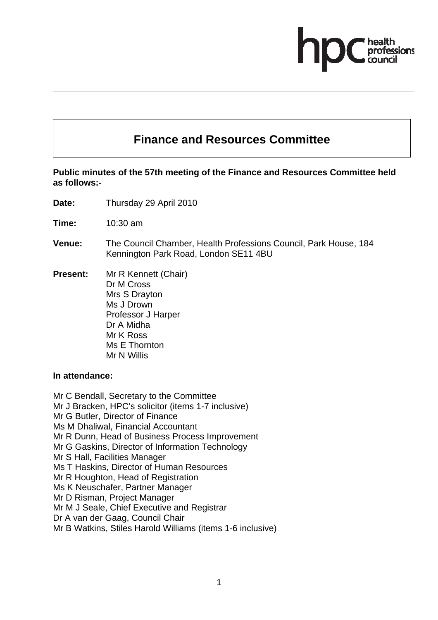# **Finance and Resources Committee**

## **Public minutes of the 57th meeting of the Finance and Resources Committee held as follows:-**

- **Date:** Thursday 29 April 2010
- **Time:** 10:30 am
- **Venue:** The Council Chamber, Health Professions Council, Park House, 184 Kennington Park Road, London SE11 4BU
- **Present:** Mr R Kennett (Chair) Dr M Cross Mrs S Drayton Ms J Drown Professor J Harper Dr A Midha Mr K Ross Ms E Thornton Mr N Willis

#### **In attendance:**

Mr C Bendall, Secretary to the Committee Mr J Bracken, HPC's solicitor (items 1-7 inclusive) Mr G Butler, Director of Finance Ms M Dhaliwal, Financial Accountant Mr R Dunn, Head of Business Process Improvement Mr G Gaskins, Director of Information Technology Mr S Hall, Facilities Manager Ms T Haskins, Director of Human Resources Mr R Houghton, Head of Registration Ms K Neuschafer, Partner Manager Mr D Risman, Project Manager Mr M J Seale, Chief Executive and Registrar Dr A van der Gaag, Council Chair Mr B Watkins, Stiles Harold Williams (items 1-6 inclusive)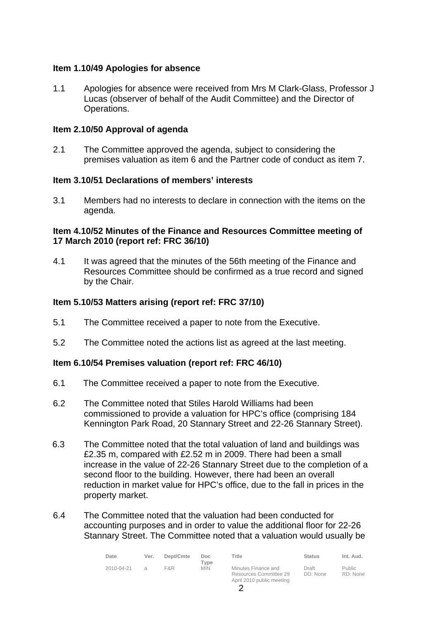## **Item 1.10/49 Apologies for absence**

1.1 Apologies for absence were received from Mrs M Clark-Glass, Professor J Lucas (observer of behalf of the Audit Committee) and the Director of Operations.

#### **Item 2.10/50 Approval of agenda**

2.1 The Committee approved the agenda, subject to considering the premises valuation as item 6 and the Partner code of conduct as item 7.

#### **Item 3.10/51 Declarations of members' interests**

3.1 Members had no interests to declare in connection with the items on the agenda.

#### **Item 4.10/52 Minutes of the Finance and Resources Committee meeting of 17 March 2010 (report ref: FRC 36/10)**

4.1 It was agreed that the minutes of the 56th meeting of the Finance and Resources Committee should be confirmed as a true record and signed by the Chair.

#### **Item 5.10/53 Matters arising (report ref: FRC 37/10)**

- 5.1 The Committee received a paper to note from the Executive.
- 5.2 The Committee noted the actions list as agreed at the last meeting.

#### **Item 6.10/54 Premises valuation (report ref: FRC 46/10)**

- 6.1 The Committee received a paper to note from the Executive.
- 6.2 The Committee noted that Stiles Harold Williams had been commissioned to provide a valuation for HPC's office (comprising 184 Kennington Park Road, 20 Stannary Street and 22-26 Stannary Street).
- 6.3 The Committee noted that the total valuation of land and buildings was £2.35 m, compared with £2.52 m in 2009. There had been a small increase in the value of 22-26 Stannary Street due to the completion of a second floor to the building. However, there had been an overall reduction in market value for HPC's office, due to the fall in prices in the property market.
- 6.4 The Committee noted that the valuation had been conducted for accounting purposes and in order to value the additional floor for 22-26 Stannary Street. The Committee noted that a valuation would usually be

| Date       | Ver.          | Dept/Cmte | Doc.<br>Tvpe | Title                                                                      | <b>Status</b>     | Int. Aud.                 |
|------------|---------------|-----------|--------------|----------------------------------------------------------------------------|-------------------|---------------------------|
| 2010-04-21 | $\mathcal{A}$ | F&R       | <b>MIN</b>   | Minutes Finance and<br>Resources Committee 29<br>April 2010 public meeting | Draft<br>DD: None | <b>Public</b><br>RD: None |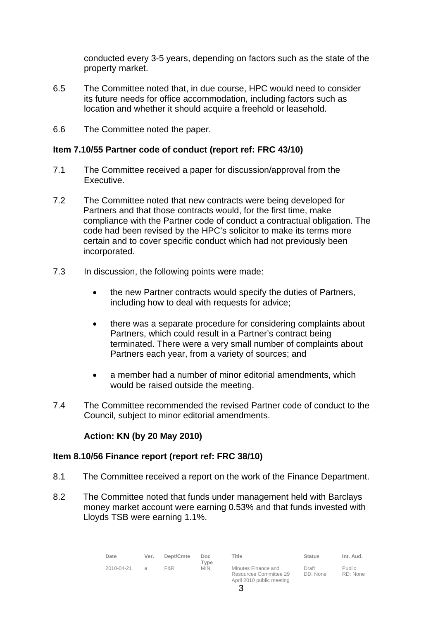conducted every 3-5 years, depending on factors such as the state of the property market.

- 6.5 The Committee noted that, in due course, HPC would need to consider its future needs for office accommodation, including factors such as location and whether it should acquire a freehold or leasehold.
- 6.6 The Committee noted the paper.

#### **Item 7.10/55 Partner code of conduct (report ref: FRC 43/10)**

- 7.1 The Committee received a paper for discussion/approval from the Executive.
- 7.2 The Committee noted that new contracts were being developed for Partners and that those contracts would, for the first time, make compliance with the Partner code of conduct a contractual obligation. The code had been revised by the HPC's solicitor to make its terms more certain and to cover specific conduct which had not previously been incorporated.
- 7.3 In discussion, the following points were made:
	- the new Partner contracts would specify the duties of Partners, including how to deal with requests for advice;
	- there was a separate procedure for considering complaints about Partners, which could result in a Partner's contract being terminated. There were a very small number of complaints about Partners each year, from a variety of sources; and
	- a member had a number of minor editorial amendments, which would be raised outside the meeting.
- 7.4 The Committee recommended the revised Partner code of conduct to the Council, subject to minor editorial amendments.

## **Action: KN (by 20 May 2010)**

## **Item 8.10/56 Finance report (report ref: FRC 38/10)**

- 8.1 The Committee received a report on the work of the Finance Department.
- 8.2 The Committee noted that funds under management held with Barclays money market account were earning 0.53% and that funds invested with Lloyds TSB were earning 1.1%.

| Date       | Ver.          | Dept/Cmte | Doc.<br>Type | Title                                                                      | <b>Status</b>     | Int. Aud.                 |
|------------|---------------|-----------|--------------|----------------------------------------------------------------------------|-------------------|---------------------------|
| 2010-04-21 | $\mathcal{A}$ | F&R       | <b>MIN</b>   | Minutes Finance and<br>Resources Committee 29<br>April 2010 public meeting | Draft<br>DD: None | <b>Public</b><br>RD: None |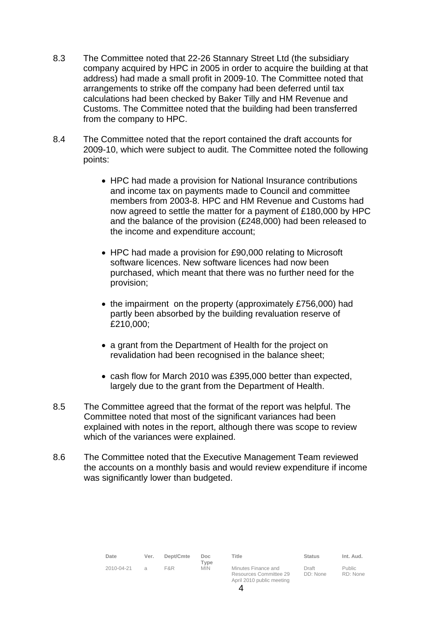- 8.3 The Committee noted that 22-26 Stannary Street Ltd (the subsidiary company acquired by HPC in 2005 in order to acquire the building at that address) had made a small profit in 2009-10. The Committee noted that arrangements to strike off the company had been deferred until tax calculations had been checked by Baker Tilly and HM Revenue and Customs. The Committee noted that the building had been transferred from the company to HPC.
- 8.4 The Committee noted that the report contained the draft accounts for 2009-10, which were subject to audit. The Committee noted the following points:
	- HPC had made a provision for National Insurance contributions and income tax on payments made to Council and committee members from 2003-8. HPC and HM Revenue and Customs had now agreed to settle the matter for a payment of £180,000 by HPC and the balance of the provision (£248,000) had been released to the income and expenditure account;
	- HPC had made a provision for £90,000 relating to Microsoft software licences. New software licences had now been purchased, which meant that there was no further need for the provision;
	- the impairment on the property (approximately £756,000) had partly been absorbed by the building revaluation reserve of £210,000;
	- a grant from the Department of Health for the project on revalidation had been recognised in the balance sheet;
	- cash flow for March 2010 was £395,000 better than expected, largely due to the grant from the Department of Health.
- 8.5 The Committee agreed that the format of the report was helpful. The Committee noted that most of the significant variances had been explained with notes in the report, although there was scope to review which of the variances were explained.
- 8.6 The Committee noted that the Executive Management Team reviewed the accounts on a monthly basis and would review expenditure if income was significantly lower than budgeted.

| Date       | Ver.          | Dept/Cmte | Doc.<br>Tvpe | Title                                                                      | <b>Status</b>     | Int. Aud.                 |
|------------|---------------|-----------|--------------|----------------------------------------------------------------------------|-------------------|---------------------------|
| 2010-04-21 | $\mathcal{A}$ | F&R       | <b>MIN</b>   | Minutes Finance and<br>Resources Committee 29<br>April 2010 public meeting | Draft<br>DD: None | <b>Public</b><br>RD: None |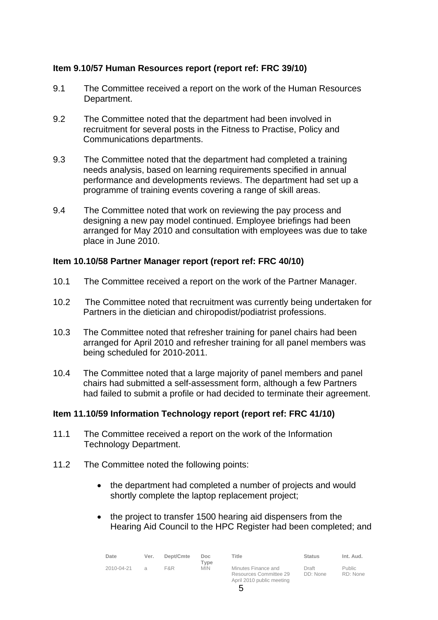# **Item 9.10/57 Human Resources report (report ref: FRC 39/10)**

- 9.1 The Committee received a report on the work of the Human Resources Department.
- 9.2 The Committee noted that the department had been involved in recruitment for several posts in the Fitness to Practise, Policy and Communications departments.
- 9.3 The Committee noted that the department had completed a training needs analysis, based on learning requirements specified in annual performance and developments reviews. The department had set up a programme of training events covering a range of skill areas.
- 9.4 The Committee noted that work on reviewing the pay process and designing a new pay model continued. Employee briefings had been arranged for May 2010 and consultation with employees was due to take place in June 2010.

## **Item 10.10/58 Partner Manager report (report ref: FRC 40/10)**

- 10.1 The Committee received a report on the work of the Partner Manager.
- 10.2 The Committee noted that recruitment was currently being undertaken for Partners in the dietician and chiropodist/podiatrist professions.
- 10.3 The Committee noted that refresher training for panel chairs had been arranged for April 2010 and refresher training for all panel members was being scheduled for 2010-2011.
- 10.4 The Committee noted that a large majority of panel members and panel chairs had submitted a self-assessment form, although a few Partners had failed to submit a profile or had decided to terminate their agreement.

## **Item 11.10/59 Information Technology report (report ref: FRC 41/10)**

- 11.1 The Committee received a report on the work of the Information Technology Department.
- 11.2 The Committee noted the following points:
	- the department had completed a number of projects and would shortly complete the laptop replacement project;
	- the project to transfer 1500 hearing aid dispensers from the Hearing Aid Council to the HPC Register had been completed; and

| Date       | Ver.           | Dept/Cmte | Doc.<br>Tvpe | Title                                         | <b>Status</b>     | Int. Aud.          |
|------------|----------------|-----------|--------------|-----------------------------------------------|-------------------|--------------------|
| 2010-04-21 | $\mathfrak{a}$ | F&R       | <b>MIN</b>   | Minutes Finance and<br>Resources Committee 29 | Draft<br>DD: None | Public<br>RD: None |

April 2010 public meeting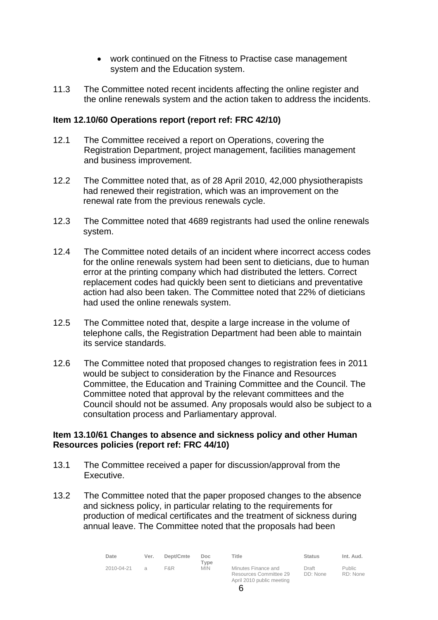- work continued on the Fitness to Practise case management system and the Education system.
- 11.3 The Committee noted recent incidents affecting the online register and the online renewals system and the action taken to address the incidents.

## **Item 12.10/60 Operations report (report ref: FRC 42/10)**

- 12.1 The Committee received a report on Operations, covering the Registration Department, project management, facilities management and business improvement.
- 12.2 The Committee noted that, as of 28 April 2010, 42,000 physiotherapists had renewed their registration, which was an improvement on the renewal rate from the previous renewals cycle.
- 12.3 The Committee noted that 4689 registrants had used the online renewals system.
- 12.4 The Committee noted details of an incident where incorrect access codes for the online renewals system had been sent to dieticians, due to human error at the printing company which had distributed the letters. Correct replacement codes had quickly been sent to dieticians and preventative action had also been taken. The Committee noted that 22% of dieticians had used the online renewals system.
- 12.5 The Committee noted that, despite a large increase in the volume of telephone calls, the Registration Department had been able to maintain its service standards.
- 12.6 The Committee noted that proposed changes to registration fees in 2011 would be subject to consideration by the Finance and Resources Committee, the Education and Training Committee and the Council. The Committee noted that approval by the relevant committees and the Council should not be assumed. Any proposals would also be subject to a consultation process and Parliamentary approval.

#### **Item 13.10/61 Changes to absence and sickness policy and other Human Resources policies (report ref: FRC 44/10)**

- 13.1 The Committee received a paper for discussion/approval from the Executive.
- 13.2 The Committee noted that the paper proposed changes to the absence and sickness policy, in particular relating to the requirements for production of medical certificates and the treatment of sickness during annual leave. The Committee noted that the proposals had been

| Date       | Ver. | Dept/Cmte | Doc.<br>Type | Title                                         | <b>Status</b>     | Int. Aud.          |
|------------|------|-----------|--------------|-----------------------------------------------|-------------------|--------------------|
| 2010-04-21 |      | F&R       | <b>MIN</b>   | Minutes Finance and<br>Resources Committee 29 | Draft<br>DD: None | Public<br>RD: None |

April 2010 public meeting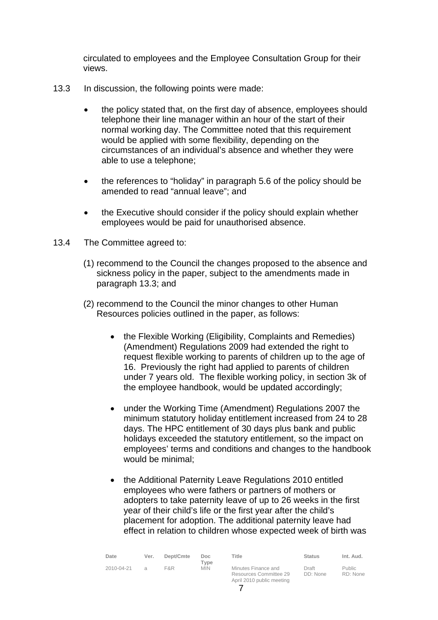circulated to employees and the Employee Consultation Group for their views.

- 13.3 In discussion, the following points were made:
	- the policy stated that, on the first day of absence, employees should telephone their line manager within an hour of the start of their normal working day. The Committee noted that this requirement would be applied with some flexibility, depending on the circumstances of an individual's absence and whether they were able to use a telephone;
	- the references to "holiday" in paragraph 5.6 of the policy should be amended to read "annual leave"; and
	- the Executive should consider if the policy should explain whether employees would be paid for unauthorised absence.
- 13.4 The Committee agreed to:
	- (1) recommend to the Council the changes proposed to the absence and sickness policy in the paper, subject to the amendments made in paragraph 13.3; and
	- (2) recommend to the Council the minor changes to other Human Resources policies outlined in the paper, as follows:
		- the Flexible Working (Eligibility, Complaints and Remedies) (Amendment) Regulations 2009 had extended the right to request flexible working to parents of children up to the age of 16. Previously the right had applied to parents of children under 7 years old. The flexible working policy, in section 3k of the employee handbook, would be updated accordingly;
		- under the Working Time (Amendment) Regulations 2007 the minimum statutory holiday entitlement increased from 24 to 28 days. The HPC entitlement of 30 days plus bank and public holidays exceeded the statutory entitlement, so the impact on employees' terms and conditions and changes to the handbook would be minimal;
		- the Additional Paternity Leave Regulations 2010 entitled employees who were fathers or partners of mothers or adopters to take paternity leave of up to 26 weeks in the first year of their child's life or the first year after the child's placement for adoption. The additional paternity leave had effect in relation to children whose expected week of birth was

| Date       | Ver.          | Dept/Cmte | Doc.<br>Tvpe | Title                                                                      | <b>Status</b>     | Int. Aud.          |
|------------|---------------|-----------|--------------|----------------------------------------------------------------------------|-------------------|--------------------|
| 2010-04-21 | $\mathcal{A}$ | F&R       | <b>MIN</b>   | Minutes Finance and<br>Resources Committee 29<br>April 2010 public meeting | Draft<br>DD: None | Public<br>RD: None |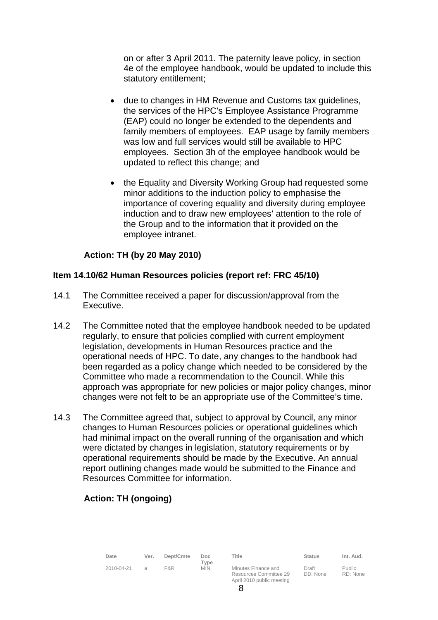on or after 3 April 2011. The paternity leave policy, in section 4e of the employee handbook, would be updated to include this statutory entitlement;

- due to changes in HM Revenue and Customs tax guidelines, the services of the HPC's Employee Assistance Programme (EAP) could no longer be extended to the dependents and family members of employees. EAP usage by family members was low and full services would still be available to HPC employees. Section 3h of the employee handbook would be updated to reflect this change; and
- the Equality and Diversity Working Group had requested some minor additions to the induction policy to emphasise the importance of covering equality and diversity during employee induction and to draw new employees' attention to the role of the Group and to the information that it provided on the employee intranet.

# **Action: TH (by 20 May 2010)**

## **Item 14.10/62 Human Resources policies (report ref: FRC 45/10)**

- 14.1 The Committee received a paper for discussion/approval from the Executive.
- 14.2 The Committee noted that the employee handbook needed to be updated regularly, to ensure that policies complied with current employment legislation, developments in Human Resources practice and the operational needs of HPC. To date, any changes to the handbook had been regarded as a policy change which needed to be considered by the Committee who made a recommendation to the Council. While this approach was appropriate for new policies or major policy changes, minor changes were not felt to be an appropriate use of the Committee's time.
- 14.3 The Committee agreed that, subject to approval by Council, any minor changes to Human Resources policies or operational guidelines which had minimal impact on the overall running of the organisation and which were dictated by changes in legislation, statutory requirements or by operational requirements should be made by the Executive. An annual report outlining changes made would be submitted to the Finance and Resources Committee for information.

# **Action: TH (ongoing)**

| Date       | Ver.          | Dept/Cmte | Doc.<br>Tvpe | Title                                                                      | <b>Status</b>     | Int. Aud.                 |
|------------|---------------|-----------|--------------|----------------------------------------------------------------------------|-------------------|---------------------------|
| 2010-04-21 | $\mathcal{A}$ | F&R       | <b>MIN</b>   | Minutes Finance and<br>Resources Committee 29<br>April 2010 public meeting | Draft<br>DD: None | <b>Public</b><br>RD: None |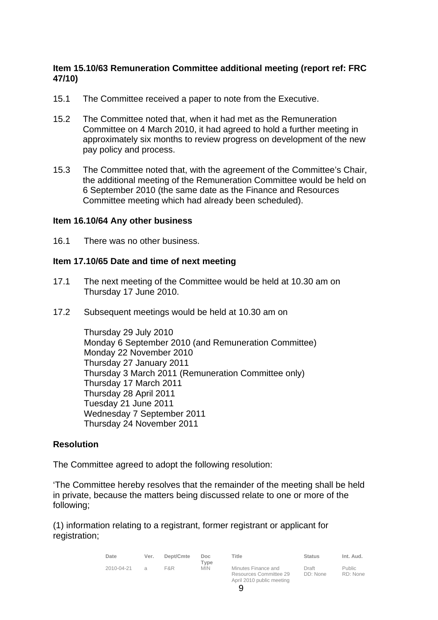# **Item 15.10/63 Remuneration Committee additional meeting (report ref: FRC 47/10)**

- 15.1 The Committee received a paper to note from the Executive.
- 15.2 The Committee noted that, when it had met as the Remuneration Committee on 4 March 2010, it had agreed to hold a further meeting in approximately six months to review progress on development of the new pay policy and process.
- 15.3 The Committee noted that, with the agreement of the Committee's Chair, the additional meeting of the Remuneration Committee would be held on 6 September 2010 (the same date as the Finance and Resources Committee meeting which had already been scheduled).

#### **Item 16.10/64 Any other business**

16.1 There was no other business.

#### **Item 17.10/65 Date and time of next meeting**

- 17.1 The next meeting of the Committee would be held at 10.30 am on Thursday 17 June 2010.
- 17.2 Subsequent meetings would be held at 10.30 am on

Thursday 29 July 2010 Monday 6 September 2010 (and Remuneration Committee) Monday 22 November 2010 Thursday 27 January 2011 Thursday 3 March 2011 (Remuneration Committee only) Thursday 17 March 2011 Thursday 28 April 2011 Tuesday 21 June 2011 Wednesday 7 September 2011 Thursday 24 November 2011

## **Resolution**

The Committee agreed to adopt the following resolution:

'The Committee hereby resolves that the remainder of the meeting shall be held in private, because the matters being discussed relate to one or more of the following;

(1) information relating to a registrant, former registrant or applicant for registration;

| Date       | Ver. | Dept/Cmte | Doc.               | Title                                         | <b>Status</b>     | Int. Aud.          |
|------------|------|-----------|--------------------|-----------------------------------------------|-------------------|--------------------|
| 2010-04-21 |      | F&R       | Type<br><b>MIN</b> | Minutes Finance and<br>Resources Committee 29 | Draft<br>DD: None | Public<br>RD: None |